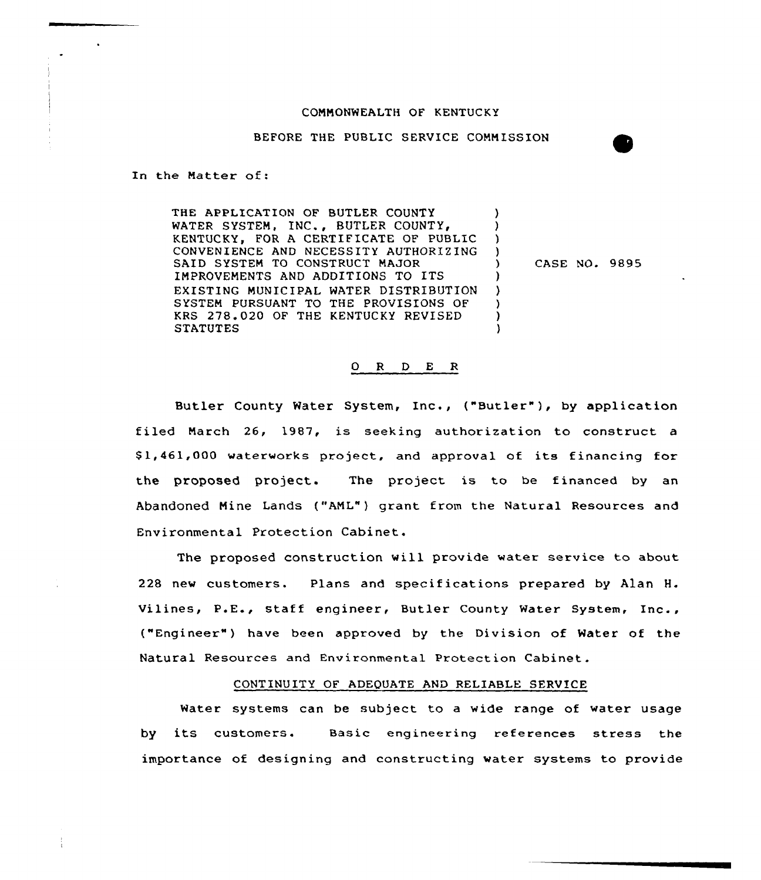#### COMMONWEALTH OF KENTUCKY

BEFORE THE PUBLIC SERVICE COMMISSION

In the Matter of:

THE APPLICATION OF BUTLER COUNTY WATER SYSTEM, INC., BUTLER COUNTY, KENTUCKY, FOR A CERTIFICATE OF PUBLIC CONVENIENCE AND NECESSITY AUTHORIZING SAID SYSTEM TO CONSTRUCT MAJOR IMPROVEMENTS AND ADDITIONS TO ITS EXISTING MUNICIPAL MATER DISTRIBUTION SYSTEM PURSUANT TO THE PROVISIONS OF KRS 278.020 OF THE KENTUCKY REVISED **STATUTES** 

) CASE NO. 9895

) 3 ) )

)

) ) l

## 0 <sup>R</sup> <sup>D</sup> E <sup>R</sup>

Butler County Water System, Inc., ("Butler" ), by application filed March 26, 1987, is seeking authorization to construct a \$ 1,461,000 waterworks project, and approval of its financing for the proposed project. The project is to be financed by an Abandoned Mine Lands ("AML") grant from the Natural Resources and Environmental Protection Cabinet.

The proposed construction will provide water service to about 228 new customers. Plans and specifications prepared by Alan H. Vilines, P.E., staff engineer, Butler County water System, Inc., ("Engineer" ) have been approved by the Division of Water of the Natural Resources and Environmental Protection Cabinet.

### CONTINUITY OF ADEQUATE AND RELIABLE SERVICE

Water systems can be subject to a wide range of water usage by its customers. Basic engineering references stress the importance of designing and constructing water systems to provide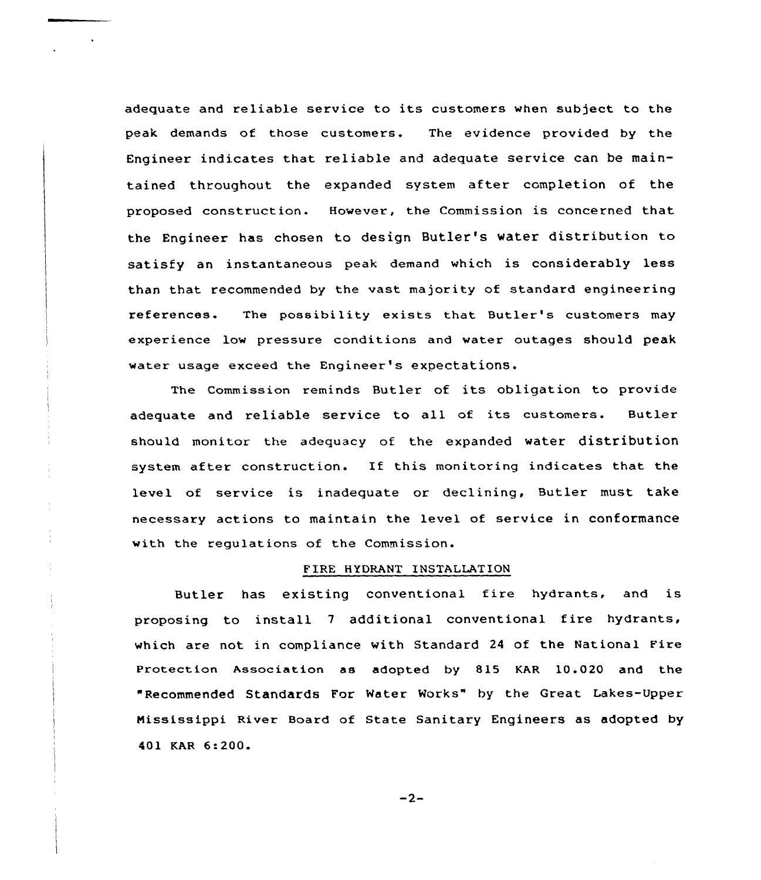adequate and reliable service to its customers when subject to the peak demands of those customers. The evidence provided by the Engineer indicates that reliable and adequate service can be maintained throughout the expanded system after completion of the proposed construction. However, the Commission is concerned that the Engineer has chosen to design Butler's water distribution to satisfy an instantaneous peak demand which is considerably less than that recommended by the vast majority of standard engineering references. The possibility exists that Butler's customers may experience low pressure conditions and water outages should peak water usage exceed the Engineer's expectationS.

The Commission reminds Butler of its obligation to provide adequate and reliable service to all of its customers. Butler should monitor the adequacy of the expanded water distribution system after construction. If this monitoring indicates that the level of service is inadequate or declining, Butler must take necessary actions to maintain the level of service in conformance with the regulations of the Commission.

# FIRE HYDRANT INSTALLATION

Butler has existing conventional fire hydrants, and is proposing to install <sup>7</sup> additional conventional fire hydrants, which are not in compliance with Standard 24 of the National Pire Protection Association as adopted by 815 KAR 10.020 and the "Recommended Standards For Water Works" by the Great Lakes-Upper Mississippi River Board of State Sanitary Engineers as adopted by 401 KAR 6:200.

 $-2-$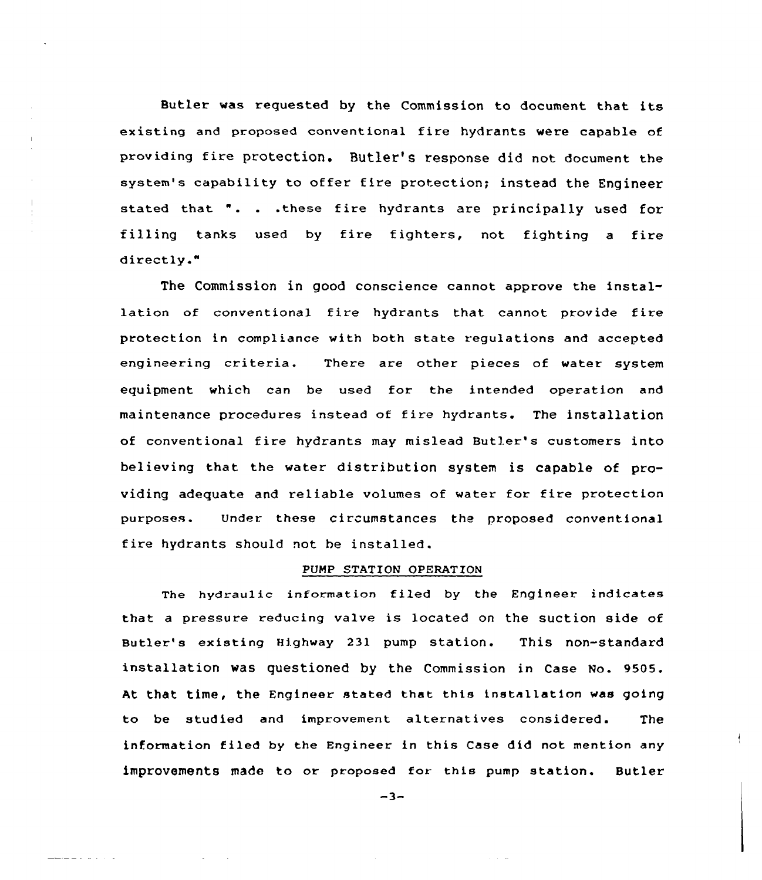Butler was requested by the Commission ko document that its existing and proposed conventional fire hydrants were capable cf providing fire protection. Butler's response did not document the system's capability to offer fire protection; instead the Engineer stated that ". . .these fire hydrants are principally used for filling tanks used by fire fightexs, not fighting <sup>a</sup> fire directly."

The Commission in good conscience cannot approve the installation of conventional fire hydrants that cannot provide fire protection in compliance with both state regulations and accepted engineering criteria. There are other pieces of water system equipment which can be used for the intended operation and maintenance procedures instead of fire hydrants. The installation of conventional fire hydrants may mislead Butler's customers into believing that the water distribution system is capable of providing adequate and reliable volumes of water for fire protection purposes. Under these circumstances the proposed conventional fire hydrants should not be installed.

### PUMP STATION OPERATION

The hydraulic information filed by the Engineer indicates that <sup>a</sup> pressure reducing valve is located on the suction side of Butler's existing Highway 231 pump station. This non-standard installation was questioned by the Commission in Case No. 9505. At that time, the Engineer stated that this installation was going to be studied and improvement alternatives considered. The information filed by the Engineer in this Case did not mention any improvements made to or proposed for this pump station. Butler

 $-3-$ 

الداري الداريد الداسية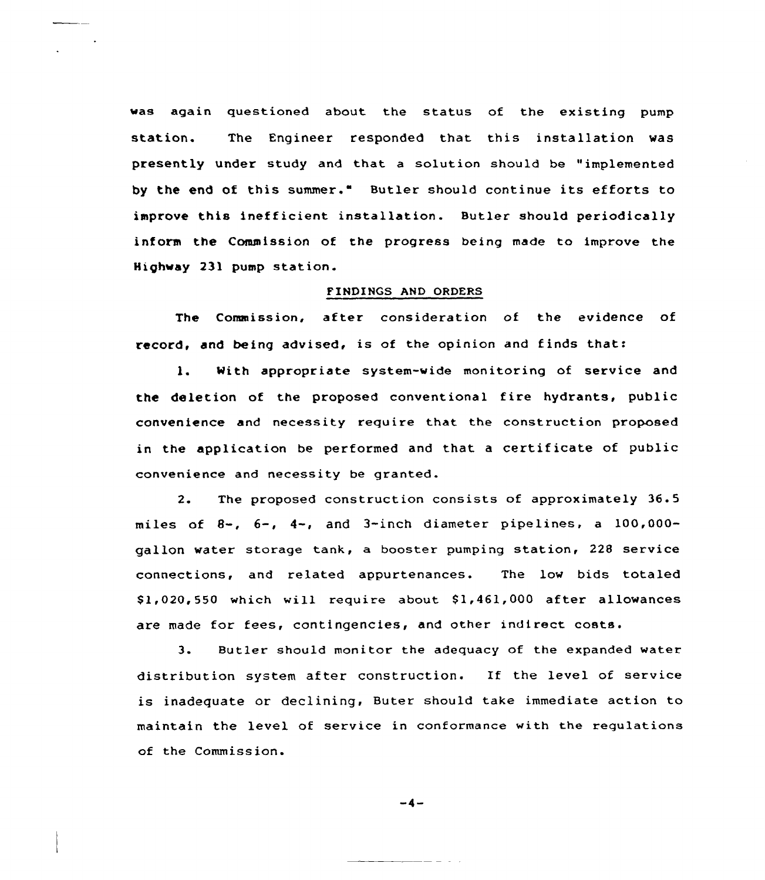was again questioned about the status of the existing pump station. The Engineer responded that this installation was presently under study and that a solution should be "implemented by the end of this summer." Butler should continue its efforts to improve this inefficient installation. Butler should periodically inform the Commission of the progress being made to improve the Highway 231 pump station.

### FINDINGS AND ORDERS

The Commission, after consideration of the evidence of record, and being advised, is of the opinion and finds that:

1. With appropriate system-wide monitoring of service and the deletion of the proposed conventional fire hydrants, public convenience and necessity require that the construction proposed in the application be performed and that <sup>a</sup> certificate of public convenience and necessity be granted.

2. The proposed construction consists of approximately 36.5 miles of 8-, 6-, 4-, and 3-inch diameter pipelines, <sup>a</sup> 100,000 gallon water storage tank, a booster pumping station, 228 service connections, and related appurtenances. The low bids totaled  $$1,020,550$  which will require about  $$1,461,000$  after allowances are made for fees, contingencies, and other indirect costs.

3. Butler should monitor the adequacy of the expanded water distribution system after construction. If the level of service is inadequate or declining, Buter should take immediate action to maintain the level of service in conformance with the requlations of the Commission.

$$
-4-
$$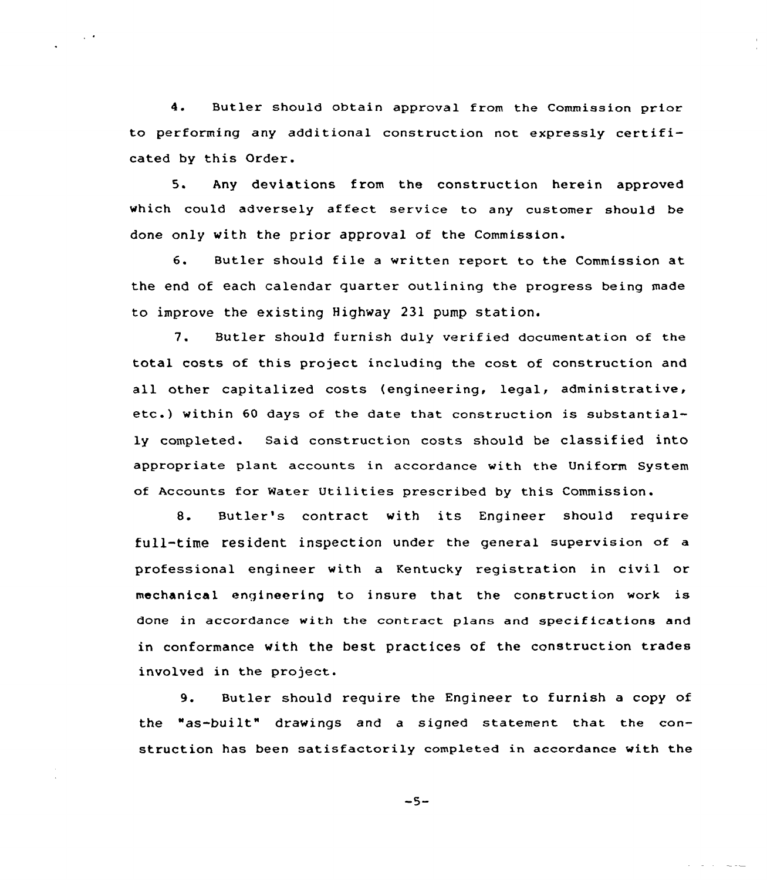4. Butler should obtain approval from the Commission prior to performing any additional construction not expressly certificated by this Order.

 $\sim$   $\sim$ 

5. Any deviations from the construction herein approved which could adversely affect service to any customer should be done only with the prior approval of the Commission.

6. Butler should file <sup>a</sup> written report to the Commission at the end of each calendar quarter outlining the progress being made to improve the existing Highway 231 pump station.

7. Butler should furnish duly verified documentation of the total costs of this project including the cost of construction and all other capitalized costs (engineering, legal, administrative, etc.) within <sup>60</sup> days of the date that construction is substantially completed. Said construction costs should be classified into appropriate plant accounts in accordance with the Uniform System of Accounts for Water Utilities prescribed by this Commission.

8. Butler's contract with its Engineer should require full-time resident inspection under the general supervision of a professional engineer with a Kentucky registration in civil or mechanical engineering to insure that the construction work is done in accordance with the contract plans and specifications and in conformance with the best practices of the construction trades involved in the project.

9. Butler should require the Engineer to furnish a copy of the "as-built" drawings and a signed statement that the construction has been satisfactorily completed in accordance with the

 $-5-$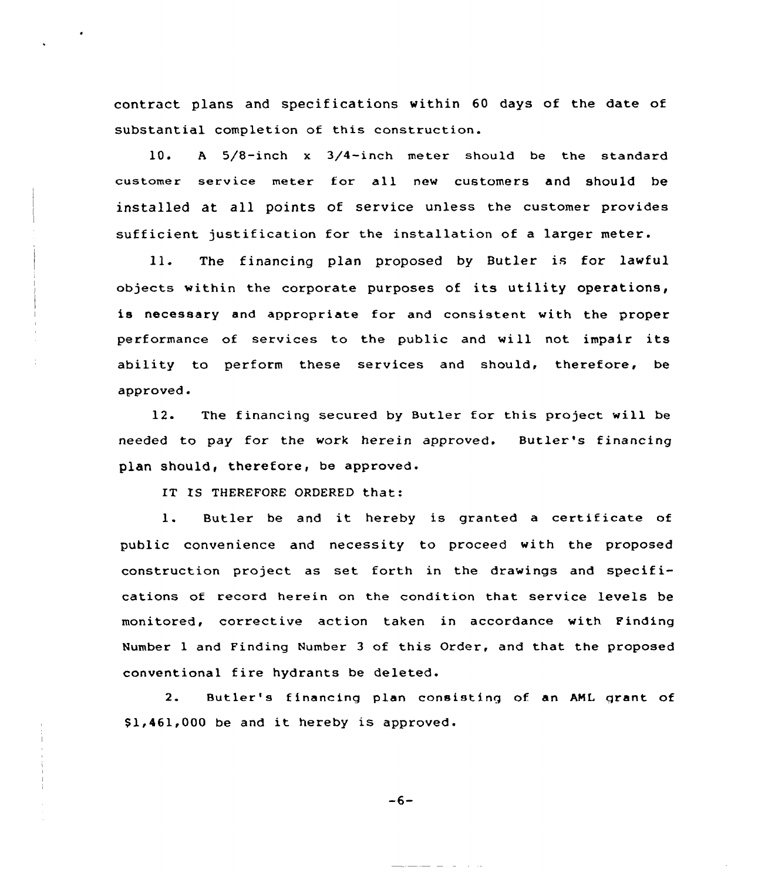contract plans and specifications within 60 days of the date of substantial completion of this construction.

10. <sup>A</sup> 5/8-inch x 3/4-inch meter should be the standard customer service meter for all new customers and should be installed at all points of service unless the customer provides sufficient justification for the installation of <sup>a</sup> larger meter.

ll. The financing plan proposed by Butler is for lawful objects within the corporate purposes of its utility operations, is necessary and appropriate for and consistent with the proper performance of services to the public and will not impair its ability to perform these services and should, therefore, be approved.

12. The financing secured by Butler for this project will be needed to pay for the work herein approved. Butler's financing plan should, therefore, be approved.

IT IS THEREFORE ORDERED that:

l. Butler be and it hereby is granted <sup>a</sup> certificate of public convenience and necessity to proceed with the proposed construction project as set forth in the drawings and specifications of record herein on the condition that service levels be monitored, corrective action taken in accordance with Finding Number 1 and Finding Number 3 of this Order, and that the proposed conventional fire hydrants be deleted.

2. Butler's financing plan consisting of an AML grant of \$1,461,000 be and it hereby is approved.

 $-6-$